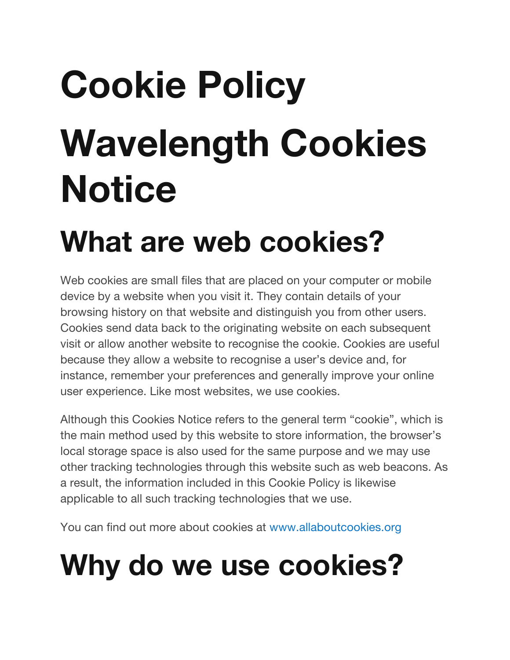# **Cookie Policy Wavelength Cookies Notice**

### **What are web cookies?**

Web cookies are small files that are placed on your computer or mobile device by a website when you visit it. They contain details of your browsing history on that website and distinguish you from other users. Cookies send data back to the originating website on each subsequent visit or allow another website to recognise the cookie. Cookies are useful because they allow a website to recognise a user's device and, for instance, remember your preferences and generally improve your online user experience. Like most websites, we use cookies.

Although this Cookies Notice refers to the general term "cookie", which is the main method used by this website to store information, the browser's local storage space is also used for the same purpose and we may use other tracking technologies through this website such as web beacons. As a result, the information included in this Cookie Policy is likewise applicable to all such tracking technologies that we use.

You can find out more about cookies at www.allaboutcookies.org

# **Why do we use cookies?**